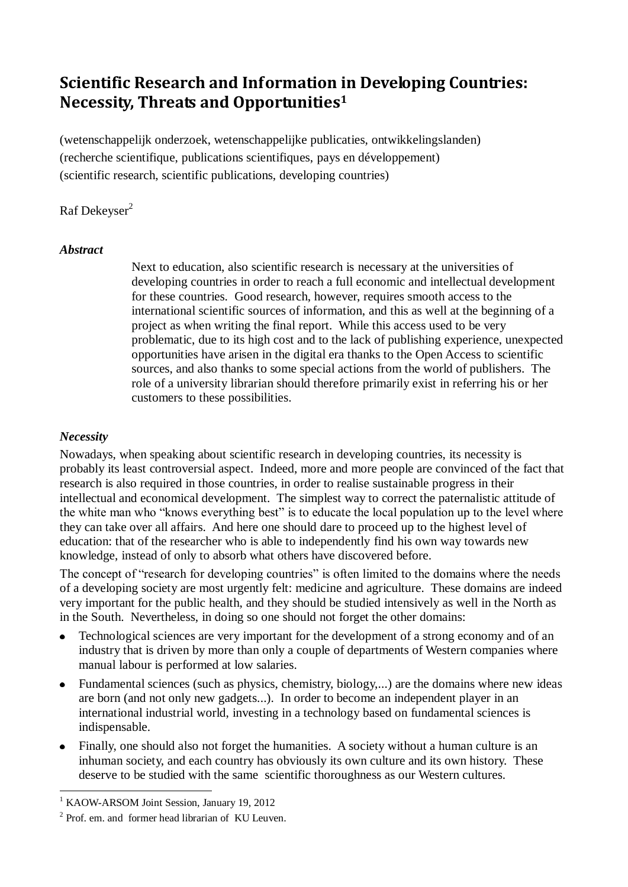# **Scientific Research and Information in Developing Countries: Necessity, Threats and Opportunities<sup>1</sup>**

(wetenschappelijk onderzoek, wetenschappelijke publicaties, ontwikkelingslanden) (recherche scientifique, publications scientifiques, pays en développement) (scientific research, scientific publications, developing countries)

# Raf Dekeyser<sup>2</sup>

#### *Abstract*

Next to education, also scientific research is necessary at the universities of developing countries in order to reach a full economic and intellectual development for these countries. Good research, however, requires smooth access to the international scientific sources of information, and this as well at the beginning of a project as when writing the final report. While this access used to be very problematic, due to its high cost and to the lack of publishing experience, unexpected opportunities have arisen in the digital era thanks to the Open Access to scientific sources, and also thanks to some special actions from the world of publishers. The role of a university librarian should therefore primarily exist in referring his or her customers to these possibilities.

## *Necessity*

1

Nowadays, when speaking about scientific research in developing countries, its necessity is probably its least controversial aspect. Indeed, more and more people are convinced of the fact that research is also required in those countries, in order to realise sustainable progress in their intellectual and economical development. The simplest way to correct the paternalistic attitude of the white man who "knows everything best" is to educate the local population up to the level where they can take over all affairs. And here one should dare to proceed up to the highest level of education: that of the researcher who is able to independently find his own way towards new knowledge, instead of only to absorb what others have discovered before.

The concept of "research for developing countries" is often limited to the domains where the needs of a developing society are most urgently felt: medicine and agriculture. These domains are indeed very important for the public health, and they should be studied intensively as well in the North as in the South. Nevertheless, in doing so one should not forget the other domains:

- Technological sciences are very important for the development of a strong economy and of an industry that is driven by more than only a couple of departments of Western companies where manual labour is performed at low salaries.
- Fundamental sciences (such as physics, chemistry, biology,...) are the domains where new ideas are born (and not only new gadgets...). In order to become an independent player in an international industrial world, investing in a technology based on fundamental sciences is indispensable.
- Finally, one should also not forget the humanities. A society without a human culture is an inhuman society, and each country has obviously its own culture and its own history. These deserve to be studied with the same scientific thoroughness as our Western cultures.

<sup>&</sup>lt;sup>1</sup> KAOW-ARSOM Joint Session, January 19, 2012

<sup>&</sup>lt;sup>2</sup> Prof. em. and former head librarian of KU Leuven.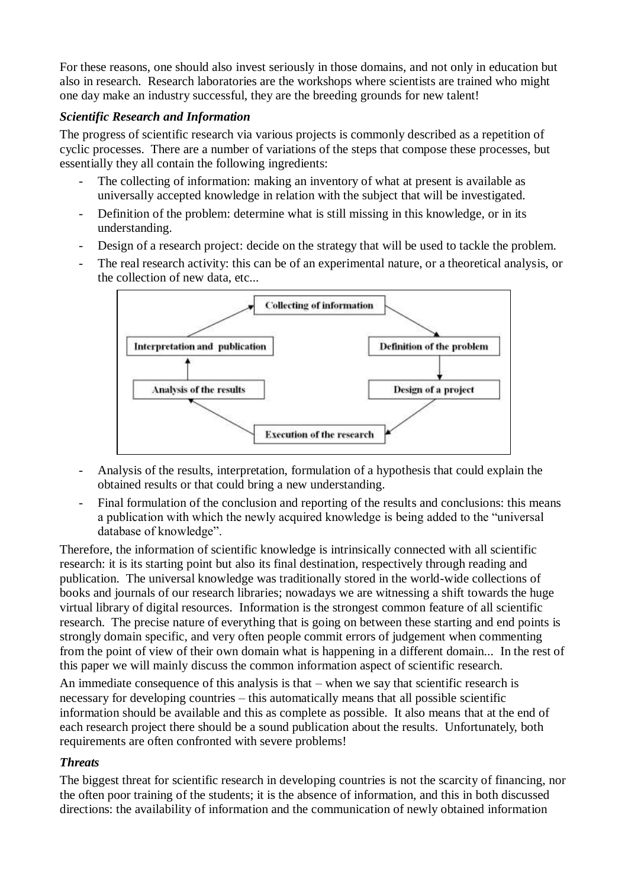For these reasons, one should also invest seriously in those domains, and not only in education but also in research. Research laboratories are the workshops where scientists are trained who might one day make an industry successful, they are the breeding grounds for new talent!

## *Scientific Research and Information*

The progress of scientific research via various projects is commonly described as a repetition of cyclic processes. There are a number of variations of the steps that compose these processes, but essentially they all contain the following ingredients:

- The collecting of information: making an inventory of what at present is available as universally accepted knowledge in relation with the subject that will be investigated.
- Definition of the problem: determine what is still missing in this knowledge, or in its understanding.
- Design of a research project: decide on the strategy that will be used to tackle the problem.
- The real research activity: this can be of an experimental nature, or a theoretical analysis, or the collection of new data, etc...



- Analysis of the results, interpretation, formulation of a hypothesis that could explain the obtained results or that could bring a new understanding.
- Final formulation of the conclusion and reporting of the results and conclusions: this means a publication with which the newly acquired knowledge is being added to the "universal database of knowledge".

Therefore, the information of scientific knowledge is intrinsically connected with all scientific research: it is its starting point but also its final destination, respectively through reading and publication. The universal knowledge was traditionally stored in the world-wide collections of books and journals of our research libraries; nowadays we are witnessing a shift towards the huge virtual library of digital resources. Information is the strongest common feature of all scientific research. The precise nature of everything that is going on between these starting and end points is strongly domain specific, and very often people commit errors of judgement when commenting from the point of view of their own domain what is happening in a different domain... In the rest of this paper we will mainly discuss the common information aspect of scientific research.

An immediate consequence of this analysis is that – when we say that scientific research is necessary for developing countries – this automatically means that all possible scientific information should be available and this as complete as possible. It also means that at the end of each research project there should be a sound publication about the results. Unfortunately, both requirements are often confronted with severe problems!

## *Threats*

The biggest threat for scientific research in developing countries is not the scarcity of financing, nor the often poor training of the students; it is the absence of information, and this in both discussed directions: the availability of information and the communication of newly obtained information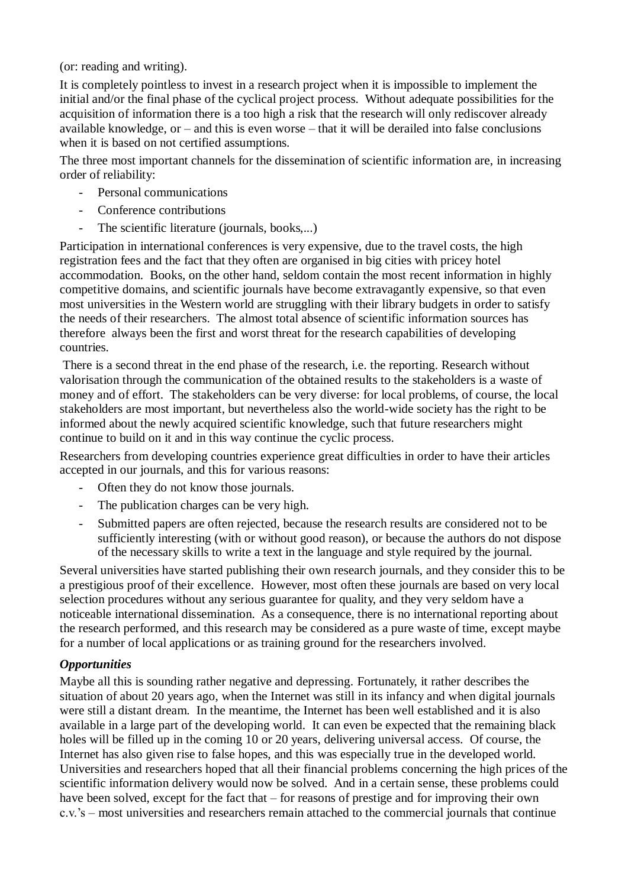(or: reading and writing).

It is completely pointless to invest in a research project when it is impossible to implement the initial and/or the final phase of the cyclical project process. Without adequate possibilities for the acquisition of information there is a too high a risk that the research will only rediscover already available knowledge, or – and this is even worse – that it will be derailed into false conclusions when it is based on not certified assumptions.

The three most important channels for the dissemination of scientific information are, in increasing order of reliability:

- Personal communications
- Conference contributions
- The scientific literature (journals, books,...)

Participation in international conferences is very expensive, due to the travel costs, the high registration fees and the fact that they often are organised in big cities with pricey hotel accommodation. Books, on the other hand, seldom contain the most recent information in highly competitive domains, and scientific journals have become extravagantly expensive, so that even most universities in the Western world are struggling with their library budgets in order to satisfy the needs of their researchers. The almost total absence of scientific information sources has therefore always been the first and worst threat for the research capabilities of developing countries.

There is a second threat in the end phase of the research, i.e. the reporting. Research without valorisation through the communication of the obtained results to the stakeholders is a waste of money and of effort. The stakeholders can be very diverse: for local problems, of course, the local stakeholders are most important, but nevertheless also the world-wide society has the right to be informed about the newly acquired scientific knowledge, such that future researchers might continue to build on it and in this way continue the cyclic process.

Researchers from developing countries experience great difficulties in order to have their articles accepted in our journals, and this for various reasons:

- Often they do not know those journals.
- The publication charges can be very high.
- Submitted papers are often rejected, because the research results are considered not to be sufficiently interesting (with or without good reason), or because the authors do not dispose of the necessary skills to write a text in the language and style required by the journal.

Several universities have started publishing their own research journals, and they consider this to be a prestigious proof of their excellence. However, most often these journals are based on very local selection procedures without any serious guarantee for quality, and they very seldom have a noticeable international dissemination. As a consequence, there is no international reporting about the research performed, and this research may be considered as a pure waste of time, except maybe for a number of local applications or as training ground for the researchers involved.

## *Opportunities*

Maybe all this is sounding rather negative and depressing. Fortunately, it rather describes the situation of about 20 years ago, when the Internet was still in its infancy and when digital journals were still a distant dream. In the meantime, the Internet has been well established and it is also available in a large part of the developing world. It can even be expected that the remaining black holes will be filled up in the coming 10 or 20 years, delivering universal access. Of course, the Internet has also given rise to false hopes, and this was especially true in the developed world. Universities and researchers hoped that all their financial problems concerning the high prices of the scientific information delivery would now be solved. And in a certain sense, these problems could have been solved, except for the fact that – for reasons of prestige and for improving their own c.v.'s – most universities and researchers remain attached to the commercial journals that continue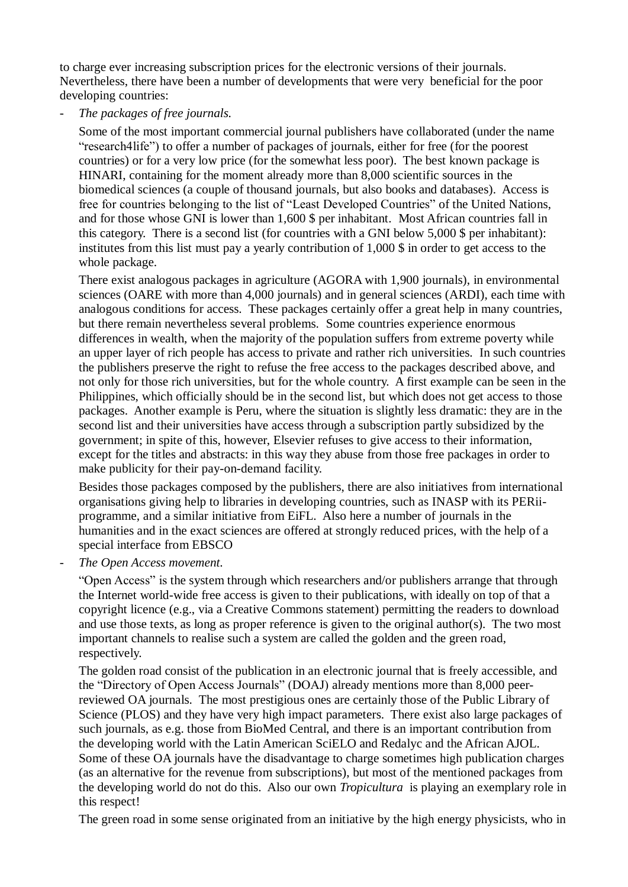to charge ever increasing subscription prices for the electronic versions of their journals. Nevertheless, there have been a number of developments that were very beneficial for the poor developing countries:

- *The packages of free journals.*

Some of the most important commercial journal publishers have collaborated (under the name "research4life") to offer a number of packages of journals, either for free (for the poorest countries) or for a very low price (for the somewhat less poor). The best known package is HINARI, containing for the moment already more than 8,000 scientific sources in the biomedical sciences (a couple of thousand journals, but also books and databases). Access is free for countries belonging to the list of "Least Developed Countries" of the United Nations, and for those whose GNI is lower than 1,600 \$ per inhabitant. Most African countries fall in this category. There is a second list (for countries with a GNI below 5,000 \$ per inhabitant): institutes from this list must pay a yearly contribution of 1,000 \$ in order to get access to the whole package.

There exist analogous packages in agriculture (AGORA with 1,900 journals), in environmental sciences (OARE with more than 4,000 journals) and in general sciences (ARDI), each time with analogous conditions for access. These packages certainly offer a great help in many countries, but there remain nevertheless several problems. Some countries experience enormous differences in wealth, when the majority of the population suffers from extreme poverty while an upper layer of rich people has access to private and rather rich universities. In such countries the publishers preserve the right to refuse the free access to the packages described above, and not only for those rich universities, but for the whole country. A first example can be seen in the Philippines, which officially should be in the second list, but which does not get access to those packages. Another example is Peru, where the situation is slightly less dramatic: they are in the second list and their universities have access through a subscription partly subsidized by the government; in spite of this, however, Elsevier refuses to give access to their information, except for the titles and abstracts: in this way they abuse from those free packages in order to make publicity for their pay-on-demand facility.

Besides those packages composed by the publishers, there are also initiatives from international organisations giving help to libraries in developing countries, such as INASP with its PERiiprogramme, and a similar initiative from EiFL. Also here a number of journals in the humanities and in the exact sciences are offered at strongly reduced prices, with the help of a special interface from EBSCO

- *The Open Access movement.*

"Open Access" is the system through which researchers and/or publishers arrange that through the Internet world-wide free access is given to their publications, with ideally on top of that a copyright licence (e.g., via a Creative Commons statement) permitting the readers to download and use those texts, as long as proper reference is given to the original author(s). The two most important channels to realise such a system are called the golden and the green road, respectively.

The golden road consist of the publication in an electronic journal that is freely accessible, and the "Directory of Open Access Journals" (DOAJ) already mentions more than 8,000 peerreviewed OA journals. The most prestigious ones are certainly those of the Public Library of Science (PLOS) and they have very high impact parameters. There exist also large packages of such journals, as e.g. those from BioMed Central, and there is an important contribution from the developing world with the Latin American SciELO and Redalyc and the African AJOL. Some of these OA journals have the disadvantage to charge sometimes high publication charges (as an alternative for the revenue from subscriptions), but most of the mentioned packages from the developing world do not do this. Also our own *Tropicultura* is playing an exemplary role in this respect!

The green road in some sense originated from an initiative by the high energy physicists, who in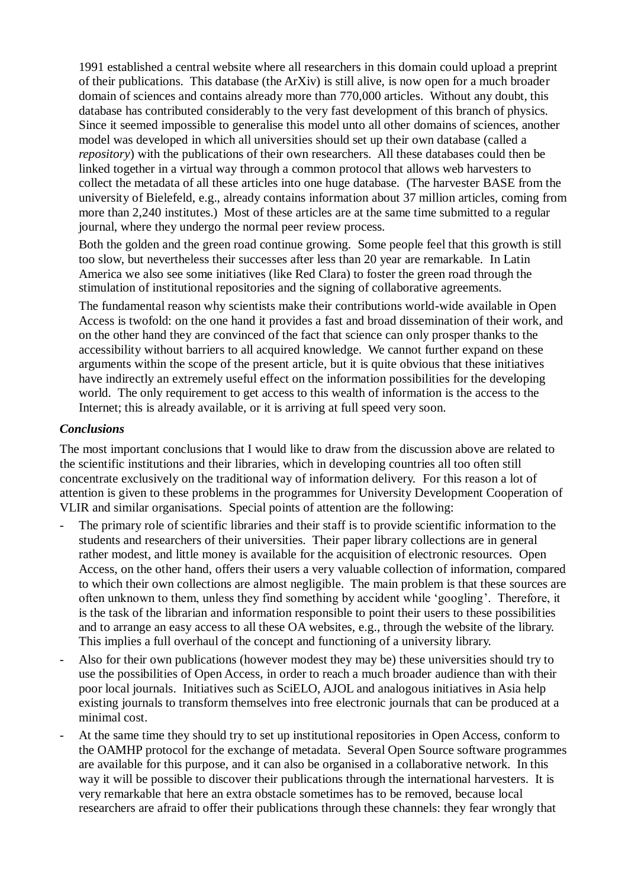1991 established a central website where all researchers in this domain could upload a preprint of their publications. This database (the ArXiv) is still alive, is now open for a much broader domain of sciences and contains already more than 770,000 articles. Without any doubt, this database has contributed considerably to the very fast development of this branch of physics. Since it seemed impossible to generalise this model unto all other domains of sciences, another model was developed in which all universities should set up their own database (called a *repository*) with the publications of their own researchers. All these databases could then be linked together in a virtual way through a common protocol that allows web harvesters to collect the metadata of all these articles into one huge database. (The harvester BASE from the university of Bielefeld, e.g., already contains information about 37 million articles, coming from more than 2,240 institutes.) Most of these articles are at the same time submitted to a regular journal, where they undergo the normal peer review process.

Both the golden and the green road continue growing. Some people feel that this growth is still too slow, but nevertheless their successes after less than 20 year are remarkable. In Latin America we also see some initiatives (like Red Clara) to foster the green road through the stimulation of institutional repositories and the signing of collaborative agreements.

The fundamental reason why scientists make their contributions world-wide available in Open Access is twofold: on the one hand it provides a fast and broad dissemination of their work, and on the other hand they are convinced of the fact that science can only prosper thanks to the accessibility without barriers to all acquired knowledge. We cannot further expand on these arguments within the scope of the present article, but it is quite obvious that these initiatives have indirectly an extremely useful effect on the information possibilities for the developing world. The only requirement to get access to this wealth of information is the access to the Internet; this is already available, or it is arriving at full speed very soon.

#### *Conclusions*

The most important conclusions that I would like to draw from the discussion above are related to the scientific institutions and their libraries, which in developing countries all too often still concentrate exclusively on the traditional way of information delivery. For this reason a lot of attention is given to these problems in the programmes for University Development Cooperation of VLIR and similar organisations. Special points of attention are the following:

- The primary role of scientific libraries and their staff is to provide scientific information to the students and researchers of their universities. Their paper library collections are in general rather modest, and little money is available for the acquisition of electronic resources. Open Access, on the other hand, offers their users a very valuable collection of information, compared to which their own collections are almost negligible. The main problem is that these sources are often unknown to them, unless they find something by accident while 'googling'. Therefore, it is the task of the librarian and information responsible to point their users to these possibilities and to arrange an easy access to all these OA websites, e.g., through the website of the library. This implies a full overhaul of the concept and functioning of a university library.
- Also for their own publications (however modest they may be) these universities should try to use the possibilities of Open Access, in order to reach a much broader audience than with their poor local journals. Initiatives such as SciELO, AJOL and analogous initiatives in Asia help existing journals to transform themselves into free electronic journals that can be produced at a minimal cost.
- At the same time they should try to set up institutional repositories in Open Access, conform to the OAMHP protocol for the exchange of metadata. Several Open Source software programmes are available for this purpose, and it can also be organised in a collaborative network. In this way it will be possible to discover their publications through the international harvesters. It is very remarkable that here an extra obstacle sometimes has to be removed, because local researchers are afraid to offer their publications through these channels: they fear wrongly that